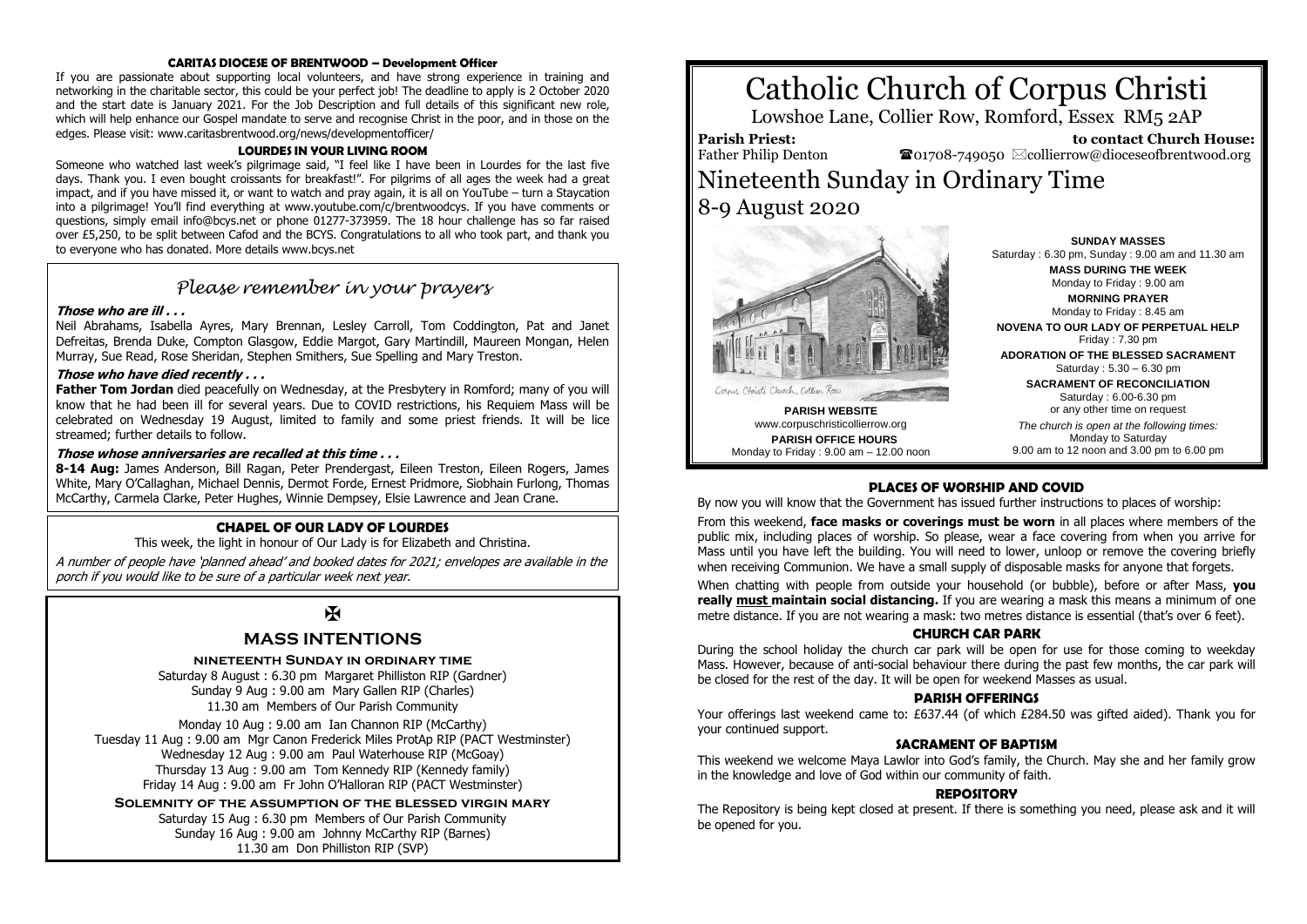#### **CARITAS DIOCESE OF BRENTWOOD – Development Officer**

If you are passionate about supporting local volunteers, and have strong experience in training and networking in the charitable sector, this could be your perfect job! The deadline to apply is 2 October 2020 and the start date is January 2021. For the Job Description and full details of this significant new role, which will help enhance our Gospel mandate to serve and recognise Christ in the poor, and in those on the edges. Please visit: www.caritasbrentwood.org/news/developmentofficer/

#### **LOURDES IN YOUR LIVING ROOM**

Someone who watched last week's pilgrimage said, "I feel like I have been in Lourdes for the last five days. Thank you. I even bought croissants for breakfast!". For pilgrims of all ages the week had a great impact, and if you have missed it, or want to watch and pray again, it is all on YouTube – turn a Staycation into a pilgrimage! You'll find everything at www.youtube.com/c/brentwoodcys. If you have comments or questions, simply email info@bcys.net or phone 01277-373959. The 18 hour challenge has so far raised over £5,250, to be split between Cafod and the BCYS. Congratulations to all who took part, and thank you to everyone who has donated. More details www.bcys.net

### *Please remember in your prayers*

#### **Those who are ill . . .**

Neil Abrahams, Isabella Ayres, Mary Brennan, Lesley Carroll, Tom Coddington, Pat and Janet Defreitas, Brenda Duke, Compton Glasgow, Eddie Margot, Gary Martindill, Maureen Mongan, Helen Murray, Sue Read, Rose Sheridan, Stephen Smithers, Sue Spelling and Mary Treston.

#### **Those who have died recently . . .**

**Father Tom Jordan** died peacefully on Wednesday, at the Presbytery in Romford; many of you will know that he had been ill for several years. Due to COVID restrictions, his Requiem Mass will be celebrated on Wednesday 19 August, limited to family and some priest friends. It will be lice streamed; further details to follow.

#### **Those whose anniversaries are recalled at this time . . .**

**8-14 Aug:** James Anderson, Bill Ragan, Peter Prendergast, Eileen Treston, Eileen Rogers, James White, Mary O'Callaghan, Michael Dennis, Dermot Forde, Ernest Pridmore, Siobhain Furlong, Thomas McCarthy, Carmela Clarke, Peter Hughes, Winnie Dempsey, Elsie Lawrence and Jean Crane.

#### **CHAPEL OF OUR LADY OF LOURDES**

This week, the light in honour of Our Lady is for Elizabeth and Christina.

A number of people have 'planned ahead' and booked dates for 2021; envelopes are available in the porch if you would like to be sure of a particular week next year.

## K

#### **MASS INTENTIONS**

**nineteenth Sunday in ordinary time**

Saturday 8 August : 6.30 pm Margaret Philliston RIP (Gardner) Sunday 9 Aug : 9.00 am Mary Gallen RIP (Charles) 11.30 am Members of Our Parish Community

Monday 10 Aug : 9.00 am Ian Channon RIP (McCarthy) Tuesday 11 Aug : 9.00 am Mgr Canon Frederick Miles ProtAp RIP (PACT Westminster) Wednesday 12 Aug : 9.00 am Paul Waterhouse RIP (McGoay) Thursday 13 Aug : 9.00 am Tom Kennedy RIP (Kennedy family) Friday 14 Aug : 9.00 am Fr John O'Halloran RIP (PACT Westminster)

**Solemnity of the assumption of the blessed virgin mary**

Saturday 15 Aug : 6.30 pm Members of Our Parish Community Sunday 16 Aug : 9.00 am Johnny McCarthy RIP (Barnes) 11.30 am Don Philliston RIP (SVP)

# Catholic Church of Corpus Christi

Lowshoe Lane, Collier Row, Romford, Essex RM5 2AP

**Parish Priest:** Father Philip Denton

 **to contact Church House:**  $\bullet$ 01708-749050  $\boxtimes$ collierrow@dioceseofbrentwood.org

## Nineteenth Sunday in Ordinary Time 8-9 August 2020



**PARISH WEBSITE** www.corpuschristicollierrow.org **PARISH OFFICE HOURS** Monday to Friday : 9.00 am – 12.00 noon

**SUNDAY MASSES** Saturday : 6.30 pm, Sunday : 9.00 am and 11.30 am **MASS DURING THE WEEK** Monday to Friday : 9.00 am **MORNING PRAYER** Monday to Friday : 8.45 am **NOVENA TO OUR LADY OF PERPETUAL HELP** Friday : 7.30 pm

**ADORATION OF THE BLESSED SACRAMENT** Saturday : 5.30 – 6.30 pm

> **SACRAMENT OF RECONCILIATION** Saturday : 6.00-6.30 pm or any other time on request

*The church is open at the following times:* Monday to Saturday 9.00 am to 12 noon and 3.00 pm to 6.00 pm

#### **PLACES OF WORSHIP AND COVID**

By now you will know that the Government has issued further instructions to places of worship:

From this weekend, **face masks or coverings must be worn** in all places where members of the public mix, including places of worship. So please, wear a face covering from when you arrive for Mass until you have left the building. You will need to lower, unloop or remove the covering briefly when receiving Communion. We have a small supply of disposable masks for anyone that forgets.

When chatting with people from outside your household (or bubble), before or after Mass, **you really must maintain social distancing.** If you are wearing a mask this means a minimum of one metre distance. If you are not wearing a mask: two metres distance is essential (that's over 6 feet).

#### **CHURCH CAR PARK**

During the school holiday the church car park will be open for use for those coming to weekday Mass. However, because of anti-social behaviour there during the past few months, the car park will be closed for the rest of the day. It will be open for weekend Masses as usual.

#### **PARISH OFFERINGS**

Your offerings last weekend came to: £637.44 (of which £284.50 was gifted aided). Thank you for your continued support.

#### **SACRAMENT OF BAPTISM**

This weekend we welcome Maya Lawlor into God's family, the Church. May she and her family grow in the knowledge and love of God within our community of faith.

#### **REPOSITORY**

The Repository is being kept closed at present. If there is something you need, please ask and it will be opened for you.